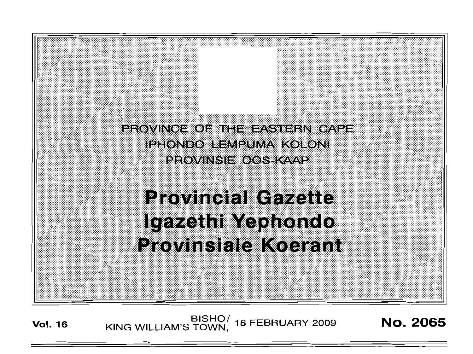

**Vol. <sup>16</sup>** BISHOj KING WILLIAM'S TOWN, <sup>16</sup> FEBRUARY <sup>2009</sup> No. 2065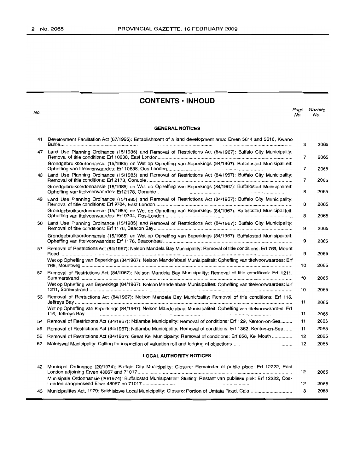# **CONTENTS -INHOUD**

*Page Gazette*

**GENERAL NOTICES** No. No. 41 Development Facilitation Act (67/1995): Establishment of a land development area: Erven 5614 and 5616, Kwano Buhle . 47 Land Use Planning Ordinance (15/1985) and Removal of Restrictions Act (84/1967): Buffalo City Municipality: Removal of title conditions: Erf 10638, East London . Grondgebruiksordonnansie (15/1985) en Wet op Opheffing van Beperkings (84/1967): Buffalostad Munisipaliteit: Opheffing van titelvoorwaardes: Erf 10638, Oos-Londen .. 48 Land Use Planning Ordinance (15/1985) and Removal of Restrictions Act (84/1967): Buffalo City Municipality: Removal of title conditions: Erf 2178, Gonubie .. Grondgebruiksordonnansie (15/1985) en Wet op Opheffing van Beperkings (84/1967): Buffalostad Munisipaliteit: Opheffing van titelvoorwaardes: Erf 2178, Gonubie .. 49 Land Use Planning Ordinance (15/1985) and Removal of Restrictions Act (84/1967): Buffalo City Municipality: Removal of title conditions: Erf 9704, East London .. Grondgebruiksordonnansie (15/1985) en Wet op Opheffing van Beperkings (84/1967): Buffalostad Munisipaliteit: Opheffing van titelvoorwaardes: Erf 9704, Oos-Londen . 50 Land Use Planning Ordinance (15/1985) and Removal of Restrictions Act (84/1967): Buffalo City Municipality: Removal of title conditions: Erf 1176, Beacon Bay . Grondgebruiksordonnansie (15/1985) en Wet op Opheffing van Beperkings (84/1967): Buffalostad Munisipaliteit: Opheffing van titelvoorwaardes: Erf 1176, Beaconbaai .. 51 Removal of Restrictions Act (84/1967): Nelson Mandela Bay Municipality: Removal of title conditions: Erf 768, Mount Road . Wet op Opheffing van Beperkings (84/1967): Nelson Mandelabaai Munisipaliteit: Opheffing van titelvoorwaardes: Erf 768, Mountweg . 52 Removal of Restrictions Act (84/1967): Nelson Mandela Bay Municipality: Removal of title conditions: Erf 1211, Summerstrand . Wet op Opheffing van Beperkings (84/1967): Nelson Mandelabaai Munisipaliteit: Opheffing van titelvoorwaardes: Erf 1211, Somerstrand . 53 Removal of Restrictions Act (84/1967): Nelson Mandela Bay Municipality: Removal of title conditions: Erf 116, Jeffreys Bay . Wet op Opheffing van Beperkings (84/1967): Nelson Mandelabaai Munisipaliteit: Opheffing van titelvoorwaardes: Erf 116, Jeffreys Bay , . 54 Removal of Restrictions Act (84/1967): Ndlambe Municipality: Removal of conditions: Erf 129, Kenton-on-Sea . 55 Removal of Restrictions Act (84/1967): Ndlambe Municipality: Removal of conditions: Erf 1362, Kenton-on-Sea .. 56 Removal of Restrictions Act (84/1967): Great Kei Municipality: Removal of conditions: Erf 656, Kei Mouth .. 57 Maletswai Municipality: Calling for inspection of valuation roll and lodging of objections . **LOCAL AUTHORITY NOTICES** 3 2065 7 2065 7 2065 7 2065 8 2065 8 2065 8 2065 9 2065 9 2065 9 2065 10 2065 10 2065 10 2065 11 2065 11 2065 11 2065 11 2065 12 2065 12 2065

| 42 Municipal Ordinance (20/1974): Buffalo City Municipality: Closure: Remainder of public place: Erf 12222, East   | 2065 |
|--------------------------------------------------------------------------------------------------------------------|------|
| Munisipale Ordonnansie (20/1974): Buffalostad Munisipaliteit: Sluiting: Restant van publieke plek: Erf 12222, Oos- | 2065 |
|                                                                                                                    | 2065 |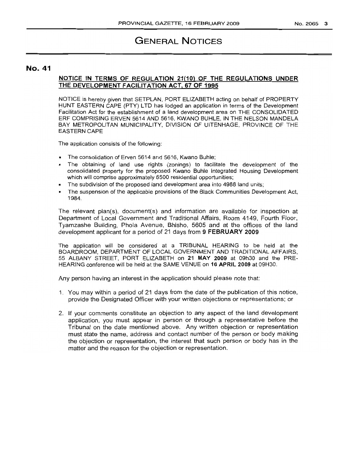# GENERAL NOTICES

# No. 41

### NOTICE IN TERMS OF REGULATION 21(10) OF THE REGULATIONS UNDER THE DEVELOPMENT FACILITATION ACT, 67 OF 1995

NOTICE is hereby given that SETPLAN, PORT ELIZABETH acting on behalf of PROPERTY HUNT EASTERN CAPE (PTY) LTO has lodged an application in terms of the Development Facilitation Act for the establishment of a land development area on THE CONSOLIDATED ERF COMPRISING ERVEN 5614 AND 5616, KWANO BUHLE, IN THE NELSON MANDELA BAY METROPOLITAN MUNICIPALITY, DIVISION OF UITENHAGE, PROVINCE OF THE EASTERN CAPE

The application consists of the following:

- The consolidation of Erven 5614 and 5616, Kwano Buhle;
- The obtaining of land use rights (zonings) to facilitate the development of the consolidated property for the proposed Kwano Buhle Integrated Housing Development which will comprise approximately 6500 residential opportunities;
- The subdivision of the proposed land development area into 4988 land units;
- The suspension of the applicable provisions of the Black Communities Development Act, 1984.

The relevant plan(s), document(s) and information are available for inspection at Department of Local Government and Traditional Affairs, Room 4149, Fourth Floor, Tyamzashe Building, Phola Avenue, Bhisho, 5605 and at the offices of the land development applicant for a period of 21 days from 9 FEBRUARY 2009

The application will be considered at a TRIBUNAL HEARING to be held at the BOARDROOM, DEPARTMENT OF LOCAL GOVERNMENT AND TRADITIONAL AFFAIRS, 55 ALBANY STREET, PORT ELIZABETH on 21 MAY 2009 at 09h30 and the PRE-HEARING conference will be held at the SAME VENUE on 16 APRIL 2009 at 09H30.

Any person havinq an interest in the application should please note that:

- 1. You may within a period of 21 days from the date of the publication of this notice, provide the Designated Officer with your written objections or representations; or
- 2. If your comments constitute an objection to any aspect of the land development application, you must appear in person or through a representative before the Tribunal on the date mentioned above. Any written objection or representation must state the name, address and contact number of the person or body making the objection or representation, the interest that such person or body has in the matter and the reason for the objection or representation.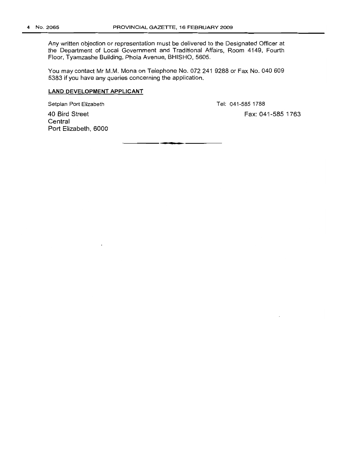Any written objection or representation must be delivered to the Designated Officer at the Department of Local Government and Traditional Affairs, Room 4149, Fourth Floor, Tyamzashe Building, Phola Avenue, BHISHO, 5605.

You may contact Mr M.M. Mona on Telephone No. 072 241 9288 or Fax No. 040 609 5383 if you have any queries concerning the application.

### **LAND DEVELOPMENT APPLICANT**

Setplan Port Elizabeth

Tel: 041-5851788

40 Bird Street **Central** Port Elizabeth, 6000 Fax: 041-585 1763

**• •**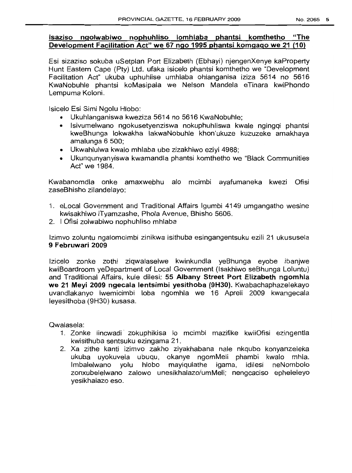# **Isaziso ngolwabiwo nophuhliso lomhlaba phantsi komthetho "The Development Facilitation Act" we 67 ngo 1995 phantsi komgago we 21 (10)**

Esi sizaziso sokuba uSetplan Port Elizabeth (Ebhayi) njengenXenye kaProperty Hunt Eastern Cape (Pty) Ltd. ufaka isicelo phantsi komthetho we "Development Facilitation Act" ukuba uphuhlise umhlaba ohlanganisa iziza 5614 no 5616 KwaNobuh/e phantsi koMasipala we Nelson Mandela eTinara kwiPhondo Lempuma Koloni.

Isicelo Esi Simi Ngolu Hlobo:

- Ukuhlanganiswa kweziza 5614 no 5616 KwaNobuhle;
- Isivumelwano ngokusetyenziswa nokuphuhliswa kwale ngingqi phantsi kweBhunga lokwakha lakwaNobuhle khon'ukuze kuzuzeke amakhaya amalunga 6 500;
- Ukwahlulwa kwalo mhlaba ube zizakhiwo eziyi 4988;
- Ukunqunyanyiswa kwamandla phantsi komthetho we "Black Communities Act" we 1984.

Kwabanomdla onke amaxwebhu alo mcimbi ayafumaneka kwezi Ofisi zaseBhisho zilandelayo:

- 1. eLocal Government and Traditional Affairs Igumbi 4149 umgangatho wesine kwisakhiwo iTyamzashe, Phola Avenue, Bhisho 5606.
- 2. I Ofisi zolwabiwo nophuhliso mhlaba

Izimvo zoluntu ngalomcimbi zinikwa isithuba esingangentsuku ezili 21 ukususela **9 Februwari 2009**

Izicelo zonke zothi ziqwalaselwe kwinkundla yeBhunga eyobe ibanjwe kwiBoardroom yeDepartment of Local Government (Isakhiwo seBhunga Loluntu) and Traditional Affairs, kule dilesi: **55 Albany Street Port Elizabeth ngomhla we 21 Meyi 2009 ngecala lentsimbi yesithoba (9H30).** Kwabachaphazelekayo uvandlakanyo Iwemicimbi loba ngomhla we 16 Apreli 2009 kwangecala leyesithoba (9H30) kusasa.

Qwalasela:

- 1. Zonke iincwadi zokuphikisa lo mcimbi mazifike kwiiOfisi ezingentla kwisithuba sentsuku ezingama 21.
- 2. Xa zithe kanti izimvo zakho ziyakhabana nale nkqubo konyanzeleka ukuba uyokuvela ubuqu, okanye ngomMeli phambi kwalo mhla. Imbalelwano yolu hlobo mayiqulathe igama, idilesi neNombolo zonxubelelwano zalowo unesikhalazo/umMeli; nengcaciso epheleleyo yesikhalazo eso.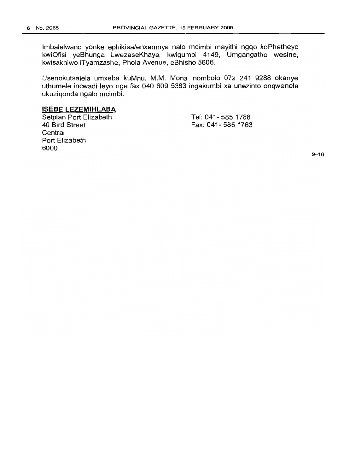Imbalelwano yonke ephikisa/enxamnye nalo mcimbi mayithi ngqo koPhetheyo kwiOfisi yeBhunga LwezaseKhaya, kwigumbi 4149, Umgangatho wesine, kwisakhiwo iTyamzashe, Phola Avenue, eBhisho 5606.

Usenokutsalela umxeba kuMnu. M.M. Mona inombolo 072 241 9288 okanye uthumele incwadi leyo nge fax 040 609 5383 ingakumbi xa unezinto onqwenela ukuziqonda ngalo mcimbi.

# **ISESE LEZEMIHLASA**

Setplan Port Elizabeth 40 Bird Street **Central** Port Elizabeth 6000

Tel: 041- 585 1788 Fax: 041- 5851763

9-16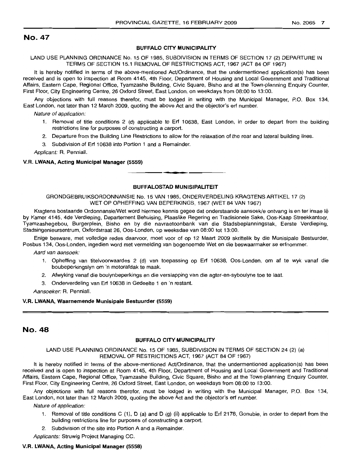### BUFFALO CITY MUNICIPALITY

LAND USE PLANNING ORDINANCE No. 15 OF 1985, SUBDIVISION IN TERMS OF SECTION 17 (2) DEPARTURE IN TERMS OF SECTION 15.1 REMOVAL OF RESTRICTIONS ACT, 1967 (ACT 84 OF 1967)

It is hereby notified in terms of the above-mentioned Act/Ordinance, that the undermentioned application(s) has been received and is open to inspection at Room 4145, 4th Floor, Department of Housing and Local Government and Traditional Affairs, Eastern Cape, Regional Office, Tyamzashe Building, Civic Square, Bisho and at the Town-planning Enquiry Counter, First Floor, City Engineering Centre, 26 Oxford Street, East London, on weekdays from 08:00 to 13:00.

Any objections with full reasons therefor, must be lodged in writing with the Municipal Manager, P.O. Box 134, East London, not later than 12 March 2009, quoting the above Act and the objector's ert number.

Nature of application:

- 1. Removal of title conditions 2 (d) applicable to Ert 10638, East London, in order to depart from the building restrictions line for purposes of constructing a carport.
- 2. Departure from the Building Line Restrictions to allow for the relaxation of the rear and lateral building lines.
- 3. Subdivision of Ert 10638 into Portion 1 and a Remainder.

Applicant: R. Penniall.

#### V.R. LWANA, Acting Municipal Manager (5559)

#### BUFFALOSTAD MUNISIPALITEIT

**• I**

GRONDGEBRUIKSORDONNANSIE No. 15 VAN 1985, ONDERVERDELING KRAGTENS ARTIKEL 17 (2) WET OP OPHEFFING VAN BEPERKINGS, 1967 (WET 84 VAN 1967)

Kragtens bostaande Ordonnansie/Wet word hiermee kennis gegee dat onderstaande aansoekle ontvang is en ter insae Ie by Kamer 4145, 4de Verdieping, Departement Behuising, Plaaslike Regering en Tradisionele Sake, Oos-Kaap Streekkantoor, Tyamzashegebou, Burgerplein, Bisho en by die navraetoonbank van die Stadsbeplanningstak, Eerste Verdieping, Stadsingenieursentrum, Oxfordstraat 26, Oos-Londen, op weeksdae van 08:00 tot 13:00.

Enige besware, met volledige redes daarvoor, moet voor of op 12 Maart 2009 skriftelik by die Munisipale Bestuurder, Posbus 134, Oos-Londen, ingedien word met vermelding van bogenoemde Wet en die beswaarmaker se erfnommer.

Aard van aansoek:

- 1. Opheffing van titelvoorwaardes 2 (d) van toepassing op Ert 10638, Oos-Londen, om af te wyk vanaf die boubeperkingslyn om 'n motorafdak te maak.
- 2. Afwyking vanaf die boulynbeperkings en die verslapping van die agter-en-syboulyne toe te laat.
- 3. Onderverdeling van Ert 10638 in Gedeelte 1 en 'n restant.

Aansoeker: R. Penniall.

#### V.R. LWANA, Waarnemende Munisipale Bestuurder (5559)

### No. 48

#### BUFFALO CITY MUNICIPALITY

LAND USE PLANNING ORDINANCE No. 15 OF 1985, SUBDIVISION IN TERMS OF SECTION 24 (2) (a) REMOVAL OF RESTRICTIONS ACT, 1967 (ACT 84 OF 1967)

It is hereby notified in terms of the above-mentioned Act/Ordinance, that the undermentioned application(s) has been received and is open to inspection at Room 4145, 4th Floor, Department of Housing and Local Government and Traditional Affairs, Eastern Cape, Regional Office, Tyamzashe Building, Civic Square, Bisho and at the Town-planning Enquiry Counter, First Floor, City Engineering Centre, 26 Oxford Street, East London, on weekdays from 08:00 to 13:00.

Any objections with full reasons therefor, must be lodged in writing with the Municipal Manager, P.O. Box 134, East London, not later than 12 March 2009, quoting the above Act and the objector's ert number.

Nature of application:

- 1. Removal of title conditions C (1), D (a) and D (g) (ii) applicable to Erf 2178, Gonubie, in order to depart from the building restrictions line for purposes of constructing a carport.
- 2. Subdivision of the site into Portion A and a Remainder.

Applicants: Struwig Project Managing CC.

#### V.R. LWANA, Acting Municipal Manager (5558)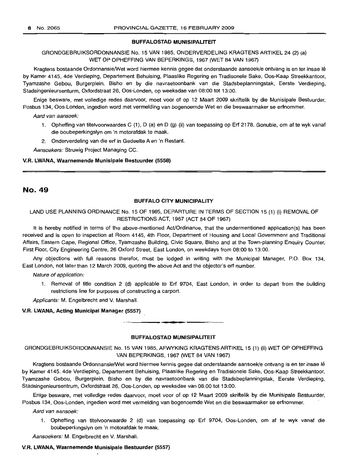### BUFFALOSTAD MUNISIPALITEIT

GRONDGEBRUIKSORDONNANSIE No. 15 VAN 1985, ONDERVERDELING KRAGTENS ARTIKEL 24 (2) (a) WET OP OPHEFFING VAN BEPERKINGS, 1967 (WET 84 VAN 1967)

Kragtens bostaande Ordonnansie/Wet word hiermee kennis gegee dat onderstaande aansoek/e ontvang is en ter insae Ie by Kamer 4145, 4de Verdieping, Departement Behuising, Plaaslike Regering en Tradisonele Sake, Oos-Kaap Streekkantoor, Tyamzashe Gebou, Burgerplein, Bisho en by die navraetoonbank van die Stadsbeplanningstak, Eerste Verdieping, Stadsingenieursenturm, Oxfordstraat 26, Oos-Londen, op weeksdae van 08:00 tot 13:00.

Enige besware, met volledige redes daarvoor, moet voor of op 12 Maart 2009 skriftelik by die Munisipale Bestuurder, Posbus 134, Oos-Londen, ingedien word met vermelding van bogenoemde Wet en die beswaarmaker se erfnommer.

Aard van aansoek:

- 1. Opheffing van titelvoorwaardes C (1), D (a) en D (g) (ii) van toepassing op Erf 2178, Gonubie, om af te wyk vanaf die boubeperkingslyn om 'n motorafdak te maak.
- 2. Onderverdeling van die erf in Gedeelte A en 'n Restant.

Aansoekers: Struwig Project Managing CC.

#### V.R. LWANA, Waarnemende Munisipale Bestuurder (5558)

# No. 49

#### BUFFALO CITY MUNICIPALITY

### LAND USE PLANNING ORDINANCE No. 15 OF 1985, DEPARTURE IN TERMS OF SECTION 15 (1) (i) REMOVAL OF RESTRICTIONS ACT, 1967 (ACT 84 OF 1967)

It is hereby notified in terms of the above-mentioned Act/Ordinance, that the undermentioned application(s) has been received and is open to inspection at Room 4145, 4th Floor, Department of Housing and Local Government and Traditional Affairs, Eastern Cape, Regional Office, Tyamzashe Building, Civic Square, Bisho and at the Town-planning Enquiry Counter, First Floor, City Engineering Centre, 26 Oxford Street, East London, on weekdays from 08:00 to 13:00.

Any objections with full reasons therefor, must be lodged in writing with the Municipal Manager, P.O. Box 134, East London, not later than 12 March 2009, quoting the above Act and the objector's erf number.

Nature of application:

1. Removal of title condition 2 (d) applicable to Erf 9704, East London, in order to depart from the building restrictions line for purposes of constructing a carport.

Applicants: M. Engelbrecht and V. Marshall.

V.A. LWANA, Acting Municipal Manager (5557)

#### BLIFFALOSTAD MUNISIPALITEIT

**•**

GRONDGEBRUIKSORDONNANSIE No. 15 VAN 1985, AFWYKING KRAGTENS ARTIKEL 15 (1) (ii) WET OP OPHEFFING VAN BEPERKINGS, 1967 (WET 84 VAN 1967)

Kragtens bostaande Ordonnansie/Wet word hiermee kennis gegee dat onderstaande aansoek/e ontvang is en ter insae Ie by Kamer 4145, 4de Verdieping, Departement Behuising, Plaaslike Regering en Tradisionele Sake, Oos-Kaap Streekkantoor, Tyamzashe Gebou, Burgerplein, Bisho en by die navraetoonbank van die Stadsbeplanningstak, Eerste Verdieping, Stadsingenieursentrum, Oxfordstraat 26, Oos-Londen, op weeksdae van 08:00 tot 13:00.

Enige besware, met volledige redes daarvoor, moet voor of op 12 Maart 2009 skriftelik by die Munisipale Bestuurder, Posbus 134, Oos-Londen, ingedien word met vermelding van bogenoemde Wet en die beswaarmaker se erfnommer.

Aard van aansoek:

1. Opheffing van titelvoorwaarde 2 (d) van toepassing op Erf 9704, Oos-Londen, om af te wyk vanaf die boubeperkingslyn om 'n motorafdak te maak.

Aansoekers: M. Engelbrecht en V. Marshall.

#### V.R. LWANA, Waarnemende Munisipale Bestuurder (5557)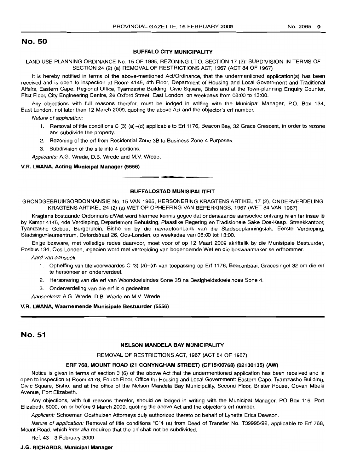#### BUFFALO CITY MUNICIPALITY

LAND USE PLANNING ORDINANCE No. 15 OF 1985, REZONING I.T.O. SECTION 17 (2): SUBDIVISION IN TERMS OF SECTION 24 (2) (a) REMOVAL OF RESTRICTIONS ACT, 1967 (ACT 84 OF 1967)

It is hereby notified in terms of the above-mentioned Act/Ordinance, that the undermentioned application(s) has been received and is open to inspection at Room 4145, 4th Floor, Department of Housing and Local Government and Traditional Affairs, Eastern Cape, Regional Office, Tyamzashe Building, Civic Square, Bisho and at the Town-planning Enquiry Counter, First Floor, City Engineering Centre, 26 Oxford Street, East London, on weekdays from 08:00 to 13:00.

Any objections with full reasons therefor, must be lodged in writing with the Municipal Manager, P.O. Box 134, East London, not later than 12 March 2009, quoting the above Act and the objector's ert number.

Nature of application:

- 1. Removal of title conditions C (3) (a)-(d) applicable to Ert 1176, Beacon Bay, 32 Grace Crescent, in order to rezone and subdivide the property.
- 2. Rezoning of the ert from Residential Zone 3B to Business Zone 4 Purposes.
- 3. Subdivision of the site into 4 portions.
- Applicants: A.G. Wrede, D.B. Wrede and M.V. Wrede.

#### V.R. LWANA, Acting Municipal Manager (5556)

#### BUFFALOSTAD MUNISIPALITEIT

**-**

GRONDGEBRUIKSORDONNANSIE No. 15 VAN 1985, HERSONERING KRAGTENS ARTIKEL 17 (2), ONDERVERDELING KRAGTENS ARTIKEL 24 (2) (a) WET OP OPHEFFING VAN BEPERKINGS, 1967 (WET 84 VAN 1967)

Kragtens bostaande Ordonnansie/Wet word hiermee kennis gegee dat onderstaande aansoek/e ontvang is en ter insae lê by Kamer 4145, 4de Verdieping, Departement Behuising, Plaaslike Regering en Tradisionele Sake Oos-Kaap, Streekkantoor, Tyamzashe Gebou, Burgerplein, Bisho en by die navraetoonbank van die Stadsbeplanningstak, Eerste Verdieping, Stadsingenieursentrum, Oxfordstraat 26, Oos-Londen, op weeksdae van 08:00 tot 13:00.

Enige besware, met volledige redes daarvoor, moet voor of op 12 Maart 2009 skriftelik by die Munisipale Bestuurder, Posbus 134, Oos-Londen, ingedien word met vermelding van bogenoemde Wet en die beswaarmaker se erfnommer.

Aard van aansoek:

- 1. Opheffing van titelvoorwaardes C (3) (a)-(d) van toepassing op Ert 1176, Beaconbaai, Gracesingel 32 om die ert te hersoneer en onderverdeel.
- 2. Hersonering van die ert van Woondoeleindes Sone 3B na Besigheidsdoeleindes Sone 4.
- 3. Onderverdeling van die ert in 4 gedeeltes.

Aansoekers: A.G. Wrede, D.B. Wrede en M.V. Wrede.

#### V.R. LWANA, Waarnemende Munisipale Bestuurder (5556)

## No. 51

#### NELSON MANDELA BAY MUNICIPALITY

#### REMOVAL OF RESTRICTIONS ACT, 1967 (ACT 84 OF 1967)

#### ERF 768, MOUNT ROAD (21 CONYNGHAM STREET) (CF15/00768) (02130135) (AW)

Notice is given in terms of section 3 (6) of the above Act that the undermentioned application has been received and is open to inspection at Room 4178, Fourth Floor, Office for Housing and Local Government: Eastern Cape, Tyamzashe Building, Civic Square, Bisho, and at the office of the Nelson Mandela Bay Municipality, Second Floor, Brister House, Govan Mbeki Avenue, Port Elizabeth.

Any objections, with full reasons therefor, should be lodged in writing with the Municipal Manager, PO Box 116, Port Elizabeth, 6000, on or before 9 March 2009, quoting the above Act and the objector's ert number.

Applicant: Schoeman Oosthuizen Attorneys duly authorized thereto on behalf of Lynette Erica Dawson.

Nature of application: Removal of title conditions "C"4 (a) from Deed of Transfer No. T39995/92, applicable to Ert 768, Mount Road, which inter alia required that the erf shall not be subdivided.

Ref. 43-3 February 2009.

#### J.G. RICHARDS, Municipal Manager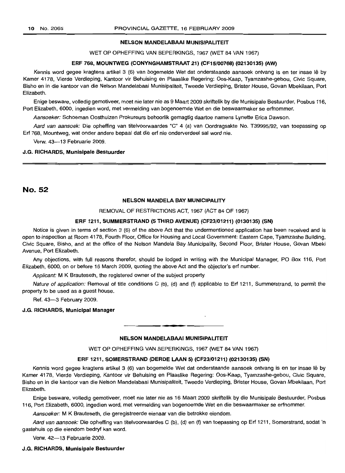#### NELSON MANDELABAAI MUNISIPALITEIT

WET OP OPHEFFING VAN BEPERKINGS, 1967 (WET 84 VAN 1967)

#### ERF 768, MOUNTWEG (CONYNGHAMSTRAAT 21) (CF15/00768) (02130135) (AW)

Kennis word gegee kragtens artikel 3 (6) van bogemelde Wet dat onderstaande aansoek ontvang is en ter insae lê by Kamer 4178, Vierde Verdieping, Kantoor vir Behuising en Plaaslike Regering: Oos-Kaap, Tyamzashe-gebou, Civic Square, Bisho en in die kantoor van die Nelson Mandelabaai Munisipaliteit, Tweede Verdieping, Brister House, Govan Mbekilaan, Port Elizabeth.

Enige besware, volledig gemotiveer, moet nie later nie as 9 Maart 2009 skriftelik by die Munisipale Bestuurder, Posbus 116, Port Elizabeth, 6000, ingedien word, met vermelding van bogenoemde Wet en die beswaarmaker se erfnommer.

Aansoeker: Schoeman Oosthuizen Prokureurs behoorlik gemagtig daartoe namens Lynette Erica Dawson.

Aard van aansoek: Die opheffing van titelvoorwaardes "C" 4 (a) van Oordragsakte No. T39995/92, van toepassing op Erf 768, Mountweg, wat onder andere bepaal dat die erf nie onderverdeel sal word nie.

Verw. 43-13 Februarie 2009.

#### J.G. RICHARDS, Munisipale Bestuurder

No. 52

#### NELSON MANDELA BAY MUNICIPALITY

#### REMOVAL OF RESTRICTIONS ACT, 1967 (ACT 84 OF 1967)

#### ERF 1211, SUMMERSTRAND (5 THIRD AVENUE) (CF23/01211) (0130135) (SN)

Notice is given in terms of section 3 (6) of the above Act that the undermentioned application has been received and is open to inspection at Room 4178, Fourth Floor, Office for Housing and Local Government: Eastern Cape, Tyamzashe Building, Civic Square, Bisho, and at the office of the Nelson Mandela Bay Municipality, Second Floor, Brister House, Govan Mbeki Avenue, Port Elizabeth.

Any objections, with full reasons therefor, should be lodged in writing with the Municipal Manager, PO Box 116, Port Elizabeth, 6000, on or before 16 March 2009, quoting the above Act and the objector's erf number.

Applicant: M K Brauteseth, the registered owner of the subject property.

Nature of application: Removal of title conditions C (b), (d) and (f) applicable to Erf 1211, Summerstrand, to permit the property to be used as a guest house.

Ref. 43-3 February 2009.

#### J.G. RICHARDS, Municipal Manager

# • **• •** NELSON MANDELABAAI MUNISIPALITEIT

WET OP OPHEFFING VAN BEPERKINGS, 1967 (WET 84 VAN 1967)

#### ERF 1211, SOMERSTRAND (DERDE LAAN 5) (CF23/01211) (02130135) (SN)

Kennis word gegee kragtens artikel 3 (6) van bogemelde Wet dat onderstaande aansoek ontvang is en ter insae lê by Kamer 4178, Vierde Verdieping, Kantoor vir Behuising en Plaaslike Regering: Oos-Kaap, Tyamzashe-gebou, Civic Square, Bisho en in die kantoor van die Nelson Mandelabaai Munisipaliteit, Tweede Verdieping, Brister House, Govan Mbekilaan, Port Elizabeth.

Enige besware, volledig gemotiveer, moet nie later nie as 16 Maart 2009 skriftelik by die Munisipale Bestuurder, Posbus 116, Port Elizabeth, 6000, ingedien word, met vermelding van bogenoemde Wet en die beswaarmaker se erfnommer.

Aansoeker: M K Brauteseth, die geregistreerde eienaar van die betrokke eiendom.

Aard van aansoek: Die opheffing van titelvoorwaardes C (b), (d) en (f) van toepassing op Erf 1211, Somerstrand, sodat 'n gastehuis op die eiendom bedryf kan word.

Verw. 42-13 Februarie 2009.

#### J.G. RICHARDS, Munisipale Bestuurder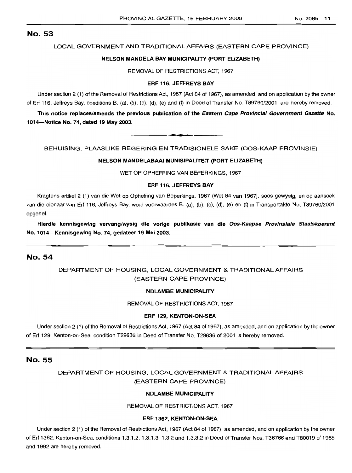#### LOCAL GOVERNMENT AND TRADITIONAL AFFAIRS (EASTERN CAPE PROVINCE)

#### NELSON MANDELA BAY MUNICIPALITY (PORT ELIZABETH)

REMOVAL OF RESTRICTIONS ACT, 1967

#### ERF 116, JEFFREYS BAY

Under section 2 (1) of the Removal of Restrictions Act, 1967 (Act 84 of 1967), as amended, and on application by the owner of Erf 116, Jeffreys Bay, conditions B. (a), (b), (c), (d), (e) and (f) in Deed of Transfer No. T89760/2001, are hereby removed.

This notice replaces/amends the previous publication of the Eastern Cape Provincial Government Gazette No. 1014-Notice No. 74, dated 19 May 2003.

**• •**

BEHUISING, PLAASLIKE REGERING EN TRADISIONELE SAKE (OOS-KAAP PROVINSIE)

#### NELSON MANDELABAAI MUNISIPALITEIT (PORT ELIZABETH)

WET OP OPHEFFING VAN BEPERKINGS, 1967

#### ERF 116, JEFFREYS BAY

Kragtens artikel 2 (1) van die Wet op Opheffing van Beperkings, 1967 (Wet 84 van 1967), soos gewysig, en op aansoek van die eienaar van Erf 116, Jeffreys Bay, word voorwaardes B. (a), (b), (c), (d), (e) en (f) in Transportakte No. T89760/2001 opgehef.

Hierdie kennisgewing vervang/wysig die vorige publikasie van die Oos-Kaapse Provinsiale Staatskoerant No. 1014-Kennisgewing No. 74, gedateer 19 Mei 2003.

## No. 54

# DEPARTMENT OF HOUSING, LOCAL GOVERNMENT & TRADITIONAL AFFAIRS (EASTERN CAPE PROVINCE)

#### NDLAMBE MUNICIPALITY

REMOVAL OF RESTRICTIONS ACT, 1967

#### ERF 129, KENTON-ON-SEA

Under section 2 (1) of the Removal of Restrictions Act, 1967 (Act 84 of 1967), as amended, and on application by the owner of Erf 129, Kenton-on-Sea, condition T29636 in Deed of Transfer No. T29636 of 2001 is hereby removed.

## No. 55

# DEPARTMENT OF HOUSING, LOCAL GOVERNMENT & TRADITIONAL AFFAIRS (EASTERN CAPE PROVINCE)

### NDLAMBE MUNICIPALITY

REMOVAL OF RESTRICTIONS ACT, 1967

#### ERF 1362, KENTON-ON-SEA

Under section 2 (1) of the Removal of Restrictions Act, 1967 (Act 84 of 1967), as amended, and on application by the owner of Erf 1362, Kenton-on-Sea, conditions 1.3.1.2, 1.3.1.3, 1.3.2 and 1.3.3.2 in Deed of Transfer Nos. T36766 and T80019 of 1985 and 1992 are hereby removed.